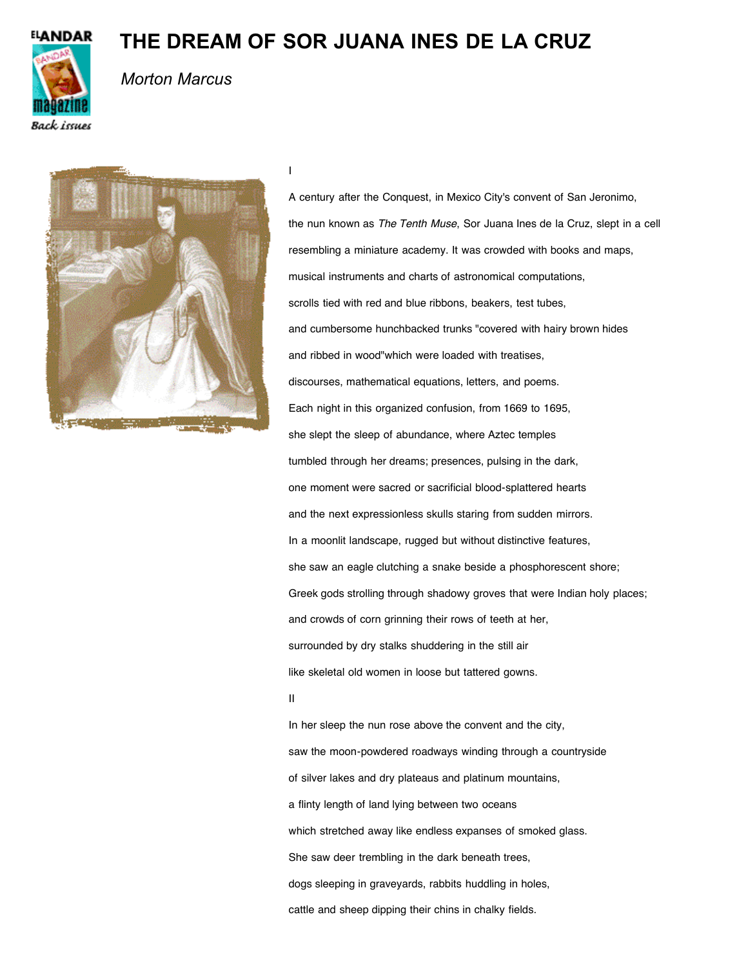

## **THE DREAM OF SOR JUANA INES DE LA CRUZ**

I



## *Morton Marcus*



A century after the Conquest, in Mexico City's convent of San Jeronimo, the nun known as *The Tenth Muse*, Sor Juana Ines de la Cruz, slept in a cell resembling a miniature academy. It was crowded with books and maps, musical instruments and charts of astronomical computations, scrolls tied with red and blue ribbons, beakers, test tubes, and cumbersome hunchbacked trunks "covered with hairy brown hides and ribbed in wood"which were loaded with treatises, discourses, mathematical equations, letters, and poems. Each night in this organized confusion, from 1669 to 1695, she slept the sleep of abundance, where Aztec temples tumbled through her dreams; presences, pulsing in the dark, one moment were sacred or sacrificial blood-splattered hearts and the next expressionless skulls staring from sudden mirrors. In a moonlit landscape, rugged but without distinctive features, she saw an eagle clutching a snake beside a phosphorescent shore; Greek gods strolling through shadowy groves that were Indian holy places; and crowds of corn grinning their rows of teeth at her, surrounded by dry stalks shuddering in the still air like skeletal old women in loose but tattered gowns. II

In her sleep the nun rose above the convent and the city, saw the moon-powdered roadways winding through a countryside of silver lakes and dry plateaus and platinum mountains, a flinty length of land lying between two oceans which stretched away like endless expanses of smoked glass. She saw deer trembling in the dark beneath trees, dogs sleeping in graveyards, rabbits huddling in holes, cattle and sheep dipping their chins in chalky fields.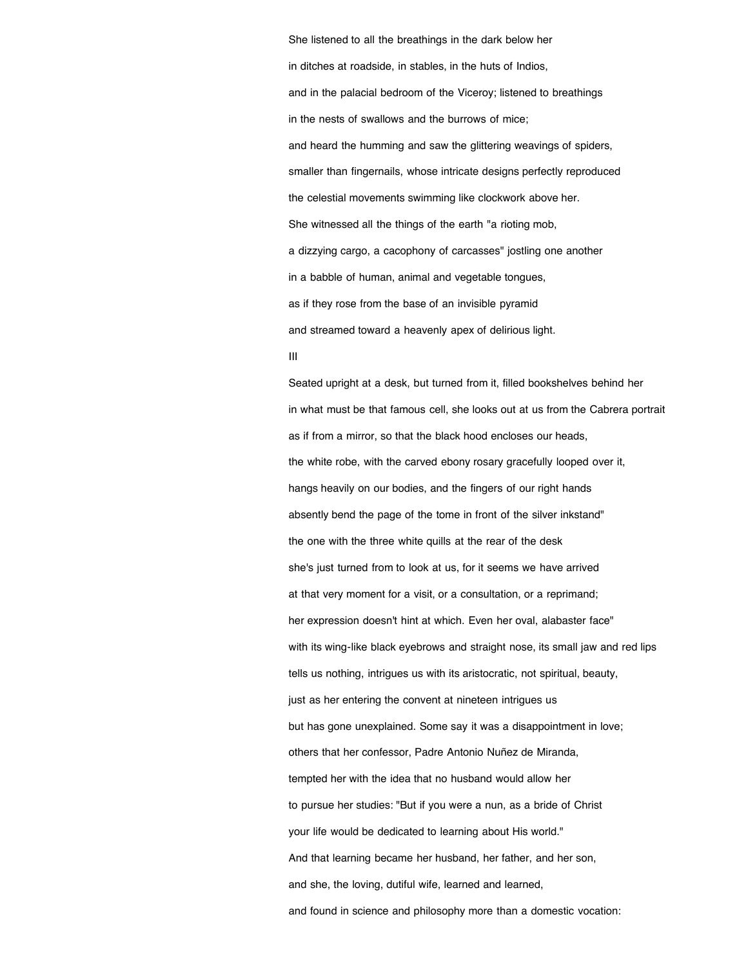She listened to all the breathings in the dark below her in ditches at roadside, in stables, in the huts of Indios, and in the palacial bedroom of the Viceroy; listened to breathings in the nests of swallows and the burrows of mice; and heard the humming and saw the glittering weavings of spiders, smaller than fingernails, whose intricate designs perfectly reproduced the celestial movements swimming like clockwork above her. She witnessed all the things of the earth "a rioting mob, a dizzying cargo, a cacophony of carcasses" jostling one another in a babble of human, animal and vegetable tongues, as if they rose from the base of an invisible pyramid and streamed toward a heavenly apex of delirious light. III

Seated upright at a desk, but turned from it, filled bookshelves behind her in what must be that famous cell, she looks out at us from the Cabrera portrait as if from a mirror, so that the black hood encloses our heads, the white robe, with the carved ebony rosary gracefully looped over it, hangs heavily on our bodies, and the fingers of our right hands absently bend the page of the tome in front of the silver inkstand" the one with the three white quills at the rear of the desk she's just turned from to look at us, for it seems we have arrived at that very moment for a visit, or a consultation, or a reprimand; her expression doesn't hint at which. Even her oval, alabaster face" with its wing-like black eyebrows and straight nose, its small jaw and red lips tells us nothing, intrigues us with its aristocratic, not spiritual, beauty, just as her entering the convent at nineteen intrigues us but has gone unexplained. Some say it was a disappointment in love; others that her confessor, Padre Antonio Nuñez de Miranda, tempted her with the idea that no husband would allow her to pursue her studies: "But if you were a nun, as a bride of Christ your life would be dedicated to learning about His world." And that learning became her husband, her father, and her son, and she, the loving, dutiful wife, learned and learned, and found in science and philosophy more than a domestic vocation: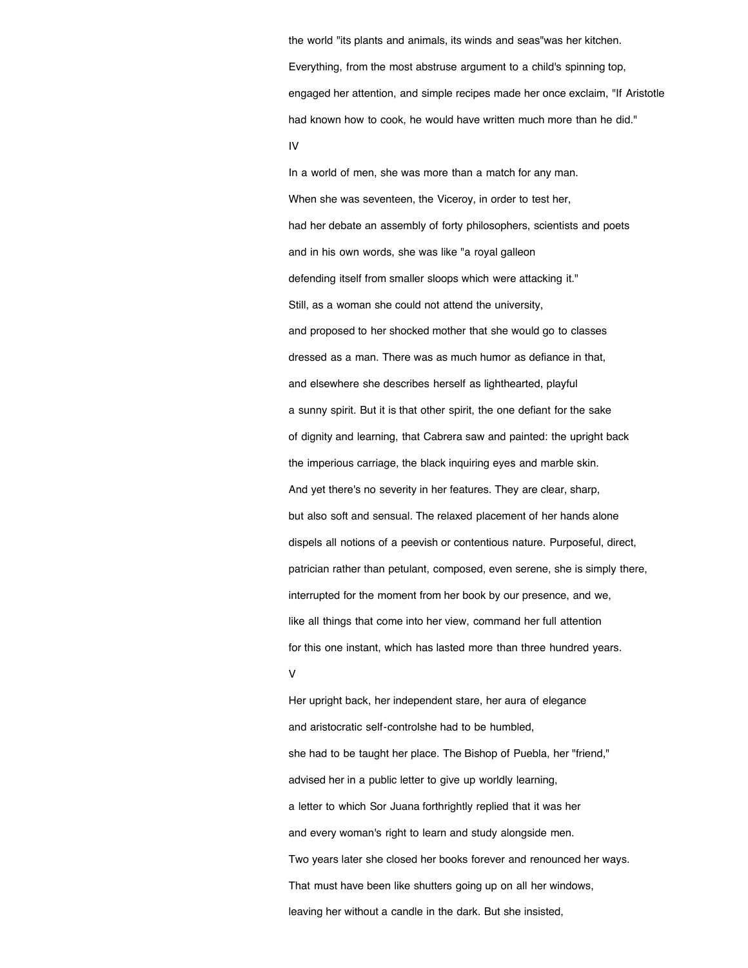the world "its plants and animals, its winds and seas"was her kitchen. Everything, from the most abstruse argument to a child's spinning top, engaged her attention, and simple recipes made her once exclaim, "If Aristotle had known how to cook, he would have written much more than he did." IV

In a world of men, she was more than a match for any man. When she was seventeen, the Viceroy, in order to test her, had her debate an assembly of forty philosophers, scientists and poets and in his own words, she was like "a royal galleon defending itself from smaller sloops which were attacking it." Still, as a woman she could not attend the university, and proposed to her shocked mother that she would go to classes dressed as a man. There was as much humor as defiance in that, and elsewhere she describes herself as lighthearted, playful a sunny spirit. But it is that other spirit, the one defiant for the sake of dignity and learning, that Cabrera saw and painted: the upright back the imperious carriage, the black inquiring eyes and marble skin. And yet there's no severity in her features. They are clear, sharp, but also soft and sensual. The relaxed placement of her hands alone dispels all notions of a peevish or contentious nature. Purposeful, direct, patrician rather than petulant, composed, even serene, she is simply there, interrupted for the moment from her book by our presence, and we, like all things that come into her view, command her full attention for this one instant, which has lasted more than three hundred years. V

Her upright back, her independent stare, her aura of elegance and aristocratic self-controlshe had to be humbled, she had to be taught her place. The Bishop of Puebla, her "friend," advised her in a public letter to give up worldly learning, a letter to which Sor Juana forthrightly replied that it was her and every woman's right to learn and study alongside men. Two years later she closed her books forever and renounced her ways. That must have been like shutters going up on all her windows, leaving her without a candle in the dark. But she insisted,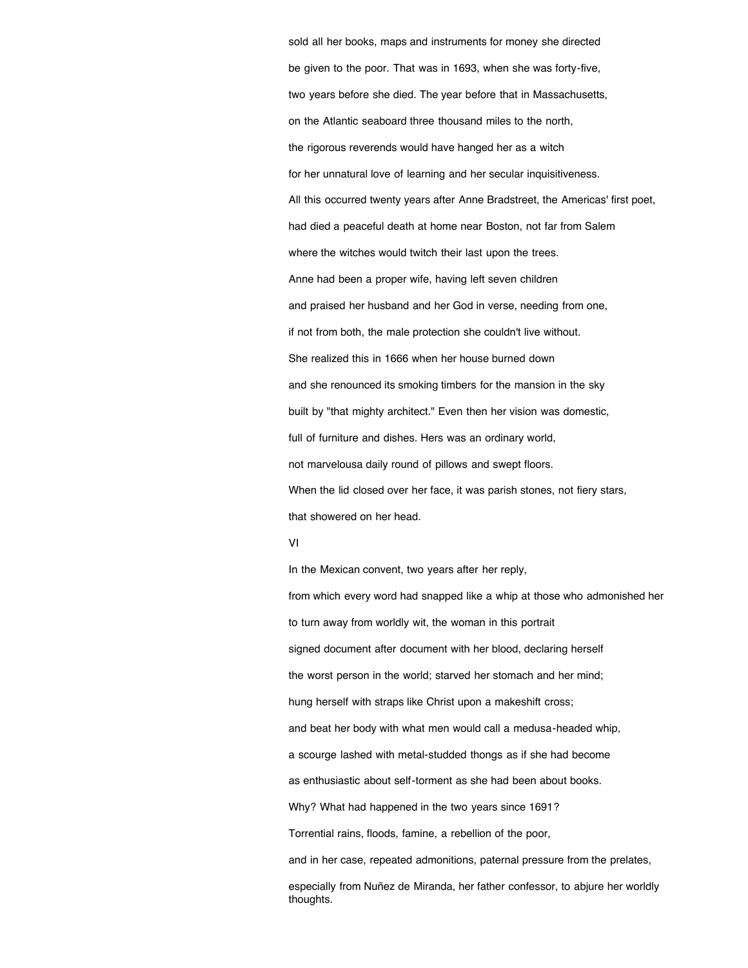sold all her books, maps and instruments for money she directed be given to the poor. That was in 1693, when she was forty-five, two years before she died. The year before that in Massachusetts, on the Atlantic seaboard three thousand miles to the north, the rigorous reverends would have hanged her as a witch for her unnatural love of learning and her secular inquisitiveness. All this occurred twenty years after Anne Bradstreet, the Americas' first poet, had died a peaceful death at home near Boston, not far from Salem where the witches would twitch their last upon the trees. Anne had been a proper wife, having left seven children and praised her husband and her God in verse, needing from one, if not from both, the male protection she couldn't live without. She realized this in 1666 when her house burned down and she renounced its smoking timbers for the mansion in the sky built by "that mighty architect." Even then her vision was domestic, full of furniture and dishes. Hers was an ordinary world, not marvelousa daily round of pillows and swept floors. When the lid closed over her face, it was parish stones, not fiery stars, that showered on her head.

VI

In the Mexican convent, two years after her reply, from which every word had snapped like a whip at those who admonished her to turn away from worldly wit, the woman in this portrait signed document after document with her blood, declaring herself the worst person in the world; starved her stomach and her mind; hung herself with straps like Christ upon a makeshift cross; and beat her body with what men would call a medusa-headed whip, a scourge lashed with metal-studded thongs as if she had become as enthusiastic about self-torment as she had been about books. Why? What had happened in the two years since 1691? Torrential rains, floods, famine, a rebellion of the poor, and in her case, repeated admonitions, paternal pressure from the prelates, especially from Nuñez de Miranda, her father confessor, to abjure her worldly thoughts.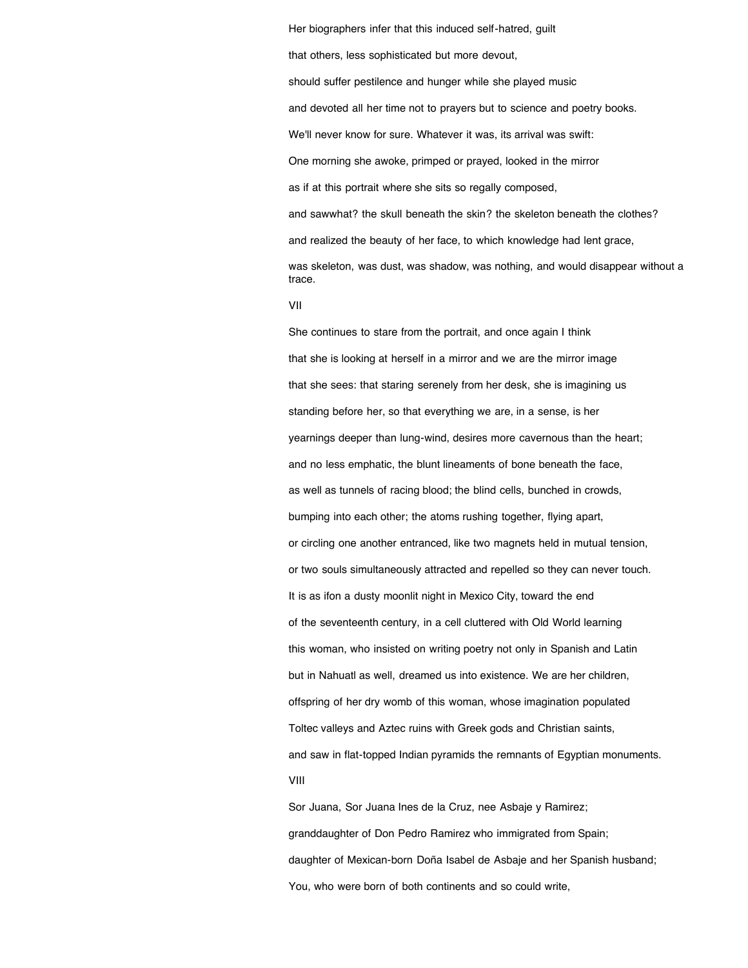that others, less sophisticated but more devout, should suffer pestilence and hunger while she played music and devoted all her time not to prayers but to science and poetry books. We'll never know for sure. Whatever it was, its arrival was swift: One morning she awoke, primped or prayed, looked in the mirror as if at this portrait where she sits so regally composed, and sawwhat? the skull beneath the skin? the skeleton beneath the clothes? and realized the beauty of her face, to which knowledge had lent grace, was skeleton, was dust, was shadow, was nothing, and would disappear without a trace.

Her biographers infer that this induced self-hatred, guilt

VII

She continues to stare from the portrait, and once again I think that she is looking at herself in a mirror and we are the mirror image that she sees: that staring serenely from her desk, she is imagining us standing before her, so that everything we are, in a sense, is her yearnings deeper than lung-wind, desires more cavernous than the heart; and no less emphatic, the blunt lineaments of bone beneath the face, as well as tunnels of racing blood; the blind cells, bunched in crowds, bumping into each other; the atoms rushing together, flying apart, or circling one another entranced, like two magnets held in mutual tension, or two souls simultaneously attracted and repelled so they can never touch. It is as ifon a dusty moonlit night in Mexico City, toward the end of the seventeenth century, in a cell cluttered with Old World learning this woman, who insisted on writing poetry not only in Spanish and Latin but in Nahuatl as well, dreamed us into existence. We are her children, offspring of her dry womb of this woman, whose imagination populated Toltec valleys and Aztec ruins with Greek gods and Christian saints, and saw in flat-topped Indian pyramids the remnants of Egyptian monuments. VIII

Sor Juana, Sor Juana Ines de la Cruz, nee Asbaje y Ramirez; granddaughter of Don Pedro Ramirez who immigrated from Spain; daughter of Mexican-born Doña Isabel de Asbaje and her Spanish husband; You, who were born of both continents and so could write,